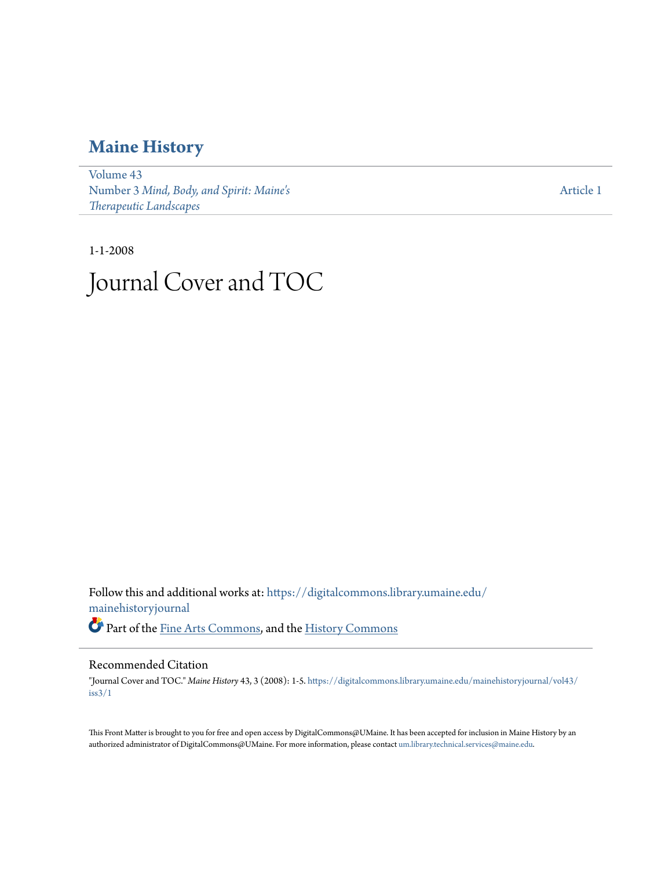### **[Maine History](https://digitalcommons.library.umaine.edu/mainehistoryjournal?utm_source=digitalcommons.library.umaine.edu%2Fmainehistoryjournal%2Fvol43%2Fiss3%2F1&utm_medium=PDF&utm_campaign=PDFCoverPages)**

[Volume 43](https://digitalcommons.library.umaine.edu/mainehistoryjournal/vol43?utm_source=digitalcommons.library.umaine.edu%2Fmainehistoryjournal%2Fvol43%2Fiss3%2F1&utm_medium=PDF&utm_campaign=PDFCoverPages) Number 3 *[Mind, Body, and Spirit: Maine's](https://digitalcommons.library.umaine.edu/mainehistoryjournal/vol43/iss3?utm_source=digitalcommons.library.umaine.edu%2Fmainehistoryjournal%2Fvol43%2Fiss3%2F1&utm_medium=PDF&utm_campaign=PDFCoverPages) [Therapeutic Landscapes](https://digitalcommons.library.umaine.edu/mainehistoryjournal/vol43/iss3?utm_source=digitalcommons.library.umaine.edu%2Fmainehistoryjournal%2Fvol43%2Fiss3%2F1&utm_medium=PDF&utm_campaign=PDFCoverPages)*

[Article 1](https://digitalcommons.library.umaine.edu/mainehistoryjournal/vol43/iss3/1?utm_source=digitalcommons.library.umaine.edu%2Fmainehistoryjournal%2Fvol43%2Fiss3%2F1&utm_medium=PDF&utm_campaign=PDFCoverPages)

### 1-1-2008 Journal Cover and TOC

Follow this and additional works at: [https://digitalcommons.library.umaine.edu/](https://digitalcommons.library.umaine.edu/mainehistoryjournal?utm_source=digitalcommons.library.umaine.edu%2Fmainehistoryjournal%2Fvol43%2Fiss3%2F1&utm_medium=PDF&utm_campaign=PDFCoverPages) [mainehistoryjournal](https://digitalcommons.library.umaine.edu/mainehistoryjournal?utm_source=digitalcommons.library.umaine.edu%2Fmainehistoryjournal%2Fvol43%2Fiss3%2F1&utm_medium=PDF&utm_campaign=PDFCoverPages) Part of the [Fine Arts Commons](http://network.bepress.com/hgg/discipline/1141?utm_source=digitalcommons.library.umaine.edu%2Fmainehistoryjournal%2Fvol43%2Fiss3%2F1&utm_medium=PDF&utm_campaign=PDFCoverPages), and the [History Commons](http://network.bepress.com/hgg/discipline/489?utm_source=digitalcommons.library.umaine.edu%2Fmainehistoryjournal%2Fvol43%2Fiss3%2F1&utm_medium=PDF&utm_campaign=PDFCoverPages)

#### Recommended Citation

"Journal Cover and TOC." *Maine History* 43, 3 (2008): 1-5. [https://digitalcommons.library.umaine.edu/mainehistoryjournal/vol43/](https://digitalcommons.library.umaine.edu/mainehistoryjournal/vol43/iss3/1?utm_source=digitalcommons.library.umaine.edu%2Fmainehistoryjournal%2Fvol43%2Fiss3%2F1&utm_medium=PDF&utm_campaign=PDFCoverPages) [iss3/1](https://digitalcommons.library.umaine.edu/mainehistoryjournal/vol43/iss3/1?utm_source=digitalcommons.library.umaine.edu%2Fmainehistoryjournal%2Fvol43%2Fiss3%2F1&utm_medium=PDF&utm_campaign=PDFCoverPages)

This Front Matter is brought to you for free and open access by DigitalCommons@UMaine. It has been accepted for inclusion in Maine History by an authorized administrator of DigitalCommons@UMaine. For more information, please contact [um.library.technical.services@maine.edu.](mailto:um.library.technical.services@maine.edu)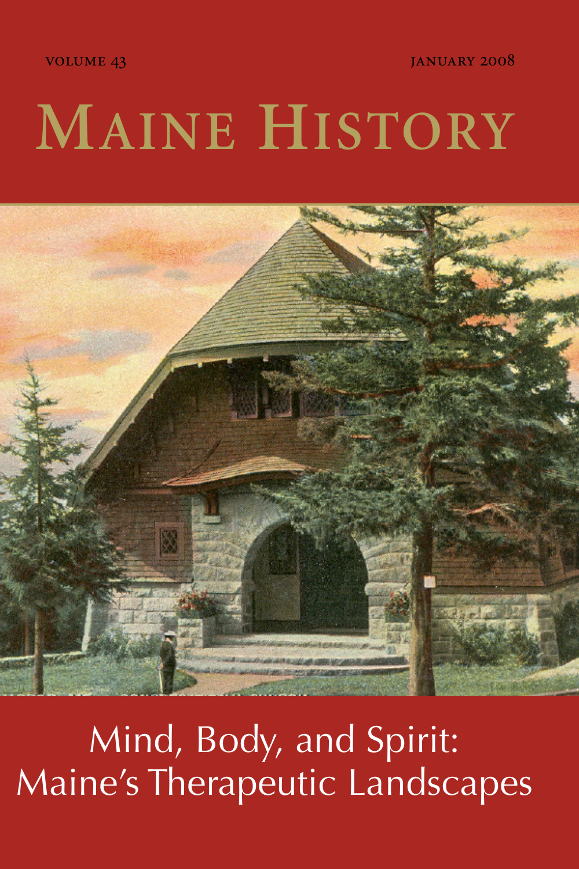VOLUME 43 THE RESERVE OF STREET AND TANUARY 2008

# **MAINE HISTORY**



Mind, Body, and Spirit: Maine's Therapeutic Landscapes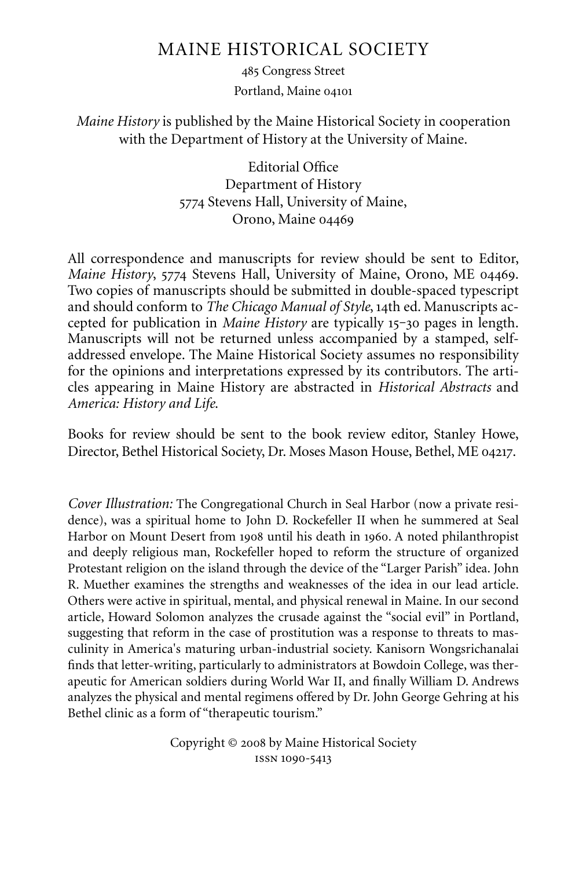#### MAINE HISTORICAL SOCIETY

485 Congress Street Portland, Maine

*Maine History* is published by the Maine Historical Society in cooperation with the Department of History at the University of Maine.

> Editorial Office Department of History 5774 Stevens Hall, University of Maine, Orono, Maine

All correspondence and manuscripts for review should be sent to Editor, *Maine History*, 5774 Stevens Hall, University of Maine, Orono, ME 04469. Two copies of manuscripts should be submitted in double-spaced typescript and should conform to *The Chicago Manual of Style*, 14th ed. Manuscripts accepted for publication in *Maine History* are typically 15-30 pages in length. Manuscripts will not be returned unless accompanied by a stamped, selfaddressed envelope. The Maine Historical Society assumes no responsibility for the opinions and interpretations expressed by its contributors. The articles appearing in Maine History are abstracted in *Historical Abstracts* and *America: History and Life*.

Books for review should be sent to the book review editor, Stanley Howe, Director, Bethel Historical Society, Dr. Moses Mason House, Bethel, ME 04217.

*Cover Illustration:* The Congregational Church in Seal Harbor (now a private residence), was a spiritual home to John D. Rockefeller II when he summered at Seal Harbor on Mount Desert from 1908 until his death in 1960. A noted philanthropist and deeply religious man, Rockefeller hoped to reform the structure of organized Protestant religion on the island through the device of the "Larger Parish" idea. John R. Muether examines the strengths and weaknesses of the idea in our lead article. Others were active in spiritual, mental, and physical renewal in Maine. In our second article, Howard Solomon analyzes the crusade against the "social evil" in Portland, suggesting that reform in the case of prostitution was a response to threats to masculinity in America's maturing urban-industrial society. Kanisorn Wongsrichanalai finds that letter-writing, particularly to administrators at Bowdoin College, was therapeutic for American soldiers during World War II, and finally William D. Andrews analyzes the physical and mental regimens offered by Dr. John George Gehring at his Bethel clinic as a form of "therapeutic tourism."

> Copyright © 2008 by Maine Historical Society ISSN 1090-5413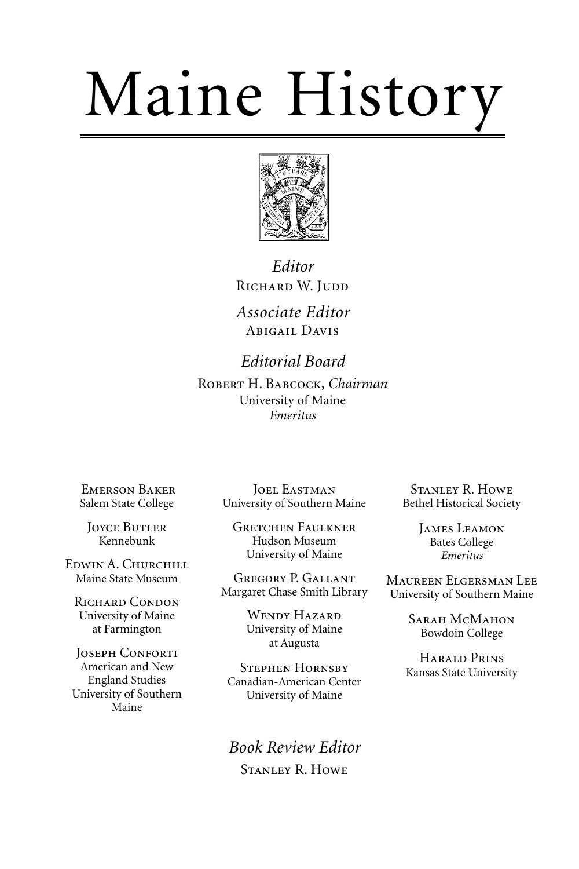# Maine History



*Editor* RICHARD W. JUDD

*Associate Editor* ABIGAIL DAVIS

*Editorial Board* ROBERT H. BABCOCK, *Chairman* University of Maine *Emeritus*

**EMERSON BAKER** Salem State College

**JOYCE BUTLER** Kennebunk

EDWIN A. CHURCHILL Maine State Museum

RICHARD CONDON University of Maine at Farmington

JOSEPH CONFORTI American and New England Studies University of Southern Maine

**JOEL EASTMAN** University of Southern Maine

**GRETCHEN FAULKNER** Hudson Museum University of Maine

GREGORY P. GALLANT Margaret Chase Smith Library

> WENDY HAZARD University of Maine at Augusta

**STEPHEN HORNSBY** Canadian-American Center University of Maine

*Book Review Editor* STANLEY R. HOWE

**STANLEY R. HOWE** Bethel Historical Society

> JAMES LEAMON Bates College *Emeritus*

MAUREEN ELGERSMAN LEE University of Southern Maine

> SARAH MCMAHON Bowdoin College

HARALD PRINS Kansas State University